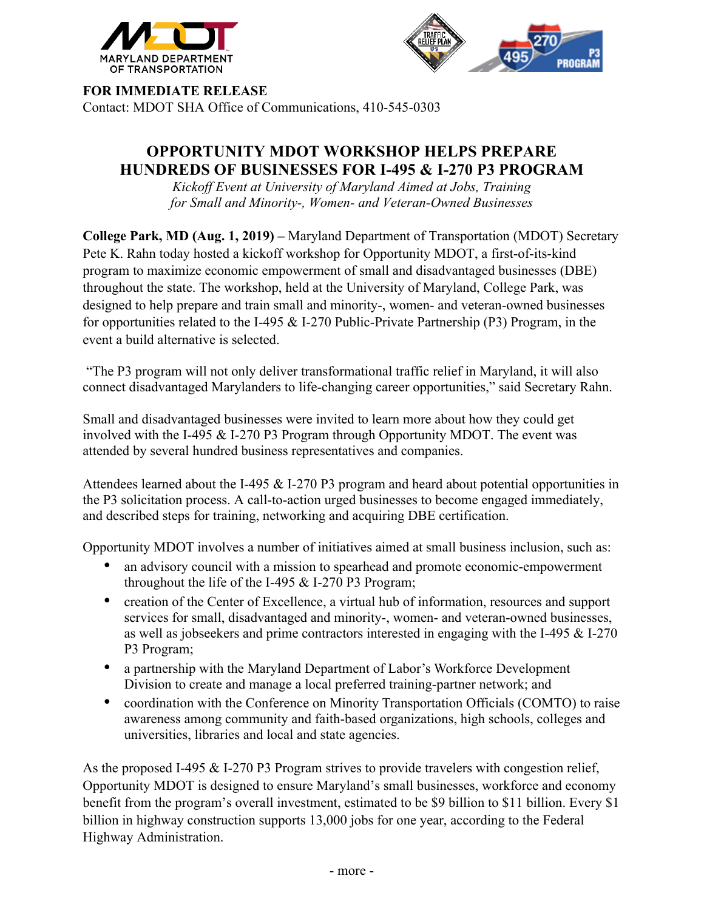



**FOR IMMEDIATE RELEASE**

Contact: MDOT SHA Office of Communications, 410-545-0303

## **OPPORTUNITY MDOT WORKSHOP HELPS PREPARE HUNDREDS OF BUSINESSES FOR I-495 & I-270 P3 PROGRAM**

*Kickoff Event at University of Maryland Aimed at Jobs, Training for Small and Minority-, Women- and Veteran-Owned Businesses*

**College Park, MD (Aug. 1, 2019) –** Maryland Department of Transportation (MDOT) Secretary Pete K. Rahn today hosted a kickoff workshop for Opportunity MDOT, a first-of-its-kind program to maximize economic empowerment of small and disadvantaged businesses (DBE) throughout the state. The workshop, held at the University of Maryland, College Park, was designed to help prepare and train small and minority-, women- and veteran-owned businesses for opportunities related to the I-495 & I-270 Public-Private Partnership (P3) Program, in the event a build alternative is selected.

"The P3 program will not only deliver transformational traffic relief in Maryland, it will also connect disadvantaged Marylanders to life-changing career opportunities," said Secretary Rahn.

Small and disadvantaged businesses were invited to learn more about how they could get involved with the I-495 & I-270 P3 Program through Opportunity MDOT. The event was attended by several hundred business representatives and companies.

Attendees learned about the I-495 & I-270 P3 program and heard about potential opportunities in the P3 solicitation process. A call-to-action urged businesses to become engaged immediately, and described steps for training, networking and acquiring DBE certification.

Opportunity MDOT involves a number of initiatives aimed at small business inclusion, such as:

- an advisory council with a mission to spearhead and promote economic-empowerment throughout the life of the I-495  $&$  I-270 P3 Program;
- creation of the Center of Excellence, a virtual hub of information, resources and support services for small, disadvantaged and minority-, women- and veteran-owned businesses, as well as jobseekers and prime contractors interested in engaging with the I-495 & I-270 P3 Program;
- a partnership with the Maryland Department of Labor's Workforce Development Division to create and manage a local preferred training-partner network; and
- coordination with the Conference on Minority Transportation Officials (COMTO) to raise awareness among community and faith-based organizations, high schools, colleges and universities, libraries and local and state agencies.

As the proposed I-495 & I-270 P3 Program strives to provide travelers with congestion relief, Opportunity MDOT is designed to ensure Maryland's small businesses, workforce and economy benefit from the program's overall investment, estimated to be \$9 billion to \$11 billion. Every \$1 billion in highway construction supports 13,000 jobs for one year, according to the Federal Highway Administration.